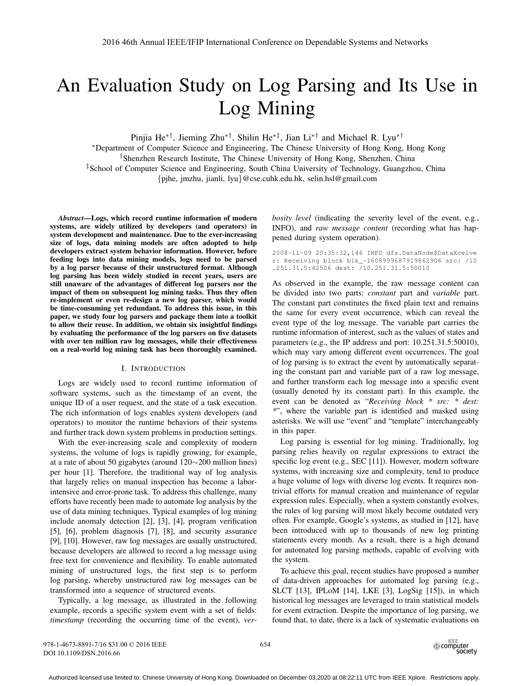# An Evaluation Study on Log Parsing and Its Use in Log Mining

Pinjia He∗†, Jieming Zhu∗†, Shilin He∗‡, Jian Li∗† and Michael R. Lyu∗†

∗Department of Computer Science and Engineering, The Chinese University of Hong Kong, Hong Kong †Shenzhen Research Institute, The Chinese University of Hong Kong, Shenzhen, China ‡School of Computer Science and Engineering, South China University of Technology, Guangzhou, China

{pjhe, jmzhu, jianli, lyu}@cse.cuhk.edu.hk, selin.hsl@gmail.com

*Abstract*—Logs, which record runtime information of modern systems, are widely utilized by developers (and operators) in system development and maintenance. Due to the ever-increasing size of logs, data mining models are often adopted to help developers extract system behavior information. However, before feeding logs into data mining models, logs need to be parsed by a log parser because of their unstructured format. Although log parsing has been widely studied in recent years, users are still unaware of the advantages of different log parsers nor the impact of them on subsequent log mining tasks. Thus they often re-implement or even re-design a new log parser, which would be time-consuming yet redundant. To address this issue, in this paper, we study four log parsers and package them into a toolkit to allow their reuse. In addition, we obtain six insightful findings by evaluating the performance of the log parsers on five datasets with over ten million raw log messages, while their effectiveness on a real-world log mining task has been thoroughly examined.

#### I. INTRODUCTION

Logs are widely used to record runtime information of software systems, such as the timestamp of an event, the unique ID of a user request, and the state of a task execution. The rich information of logs enables system developers (and operators) to monitor the runtime behaviors of their systems and further track down system problems in production settings.

With the ever-increasing scale and complexity of modern systems, the volume of logs is rapidly growing, for example, at a rate of about 50 gigabytes (around 120∼200 million lines) per hour [1]. Therefore, the traditional way of log analysis that largely relies on manual inspection has become a laborintensive and error-prone task. To address this challenge, many efforts have recently been made to automate log analysis by the use of data mining techniques. Typical examples of log mining include anomaly detection [2], [3], [4], program verification [5], [6], problem diagnosis [7], [8], and security assurance [9], [10]. However, raw log messages are usually unstructured, because developers are allowed to record a log message using free text for convenience and flexibility. To enable automated mining of unstructured logs, the first step is to perform log parsing, whereby unstructured raw log messages can be transformed into a sequence of structured events.

Typically, a log message, as illustrated in the following example, records a specific system event with a set of fields: *timestamp* (recording the occurring time of the event), *ver-*

*bosity level* (indicating the severity level of the event, e.g., INFO), and *raw message content* (recording what has happened during system operation).

2008-11-09 20:35:32,146 INFO dfs.DataNode\$DataXceive r: Receiving block blk\_-1608999687919862906 src: /10 .251.31.5:42506 dest: /10.251.31.5:50010

As observed in the example, the raw message content can be divided into two parts: *constant* part and *variable* part. The constant part constitutes the fixed plain text and remains the same for every event occurrence, which can reveal the event type of the log message. The variable part carries the runtime information of interest, such as the values of states and parameters (e.g., the IP address and port: 10.251.31.5:50010), which may vary among different event occurrences. The goal of log parsing is to extract the event by automatically separating the constant part and variable part of a raw log message, and further transform each log message into a specific event (usually denoted by its constant part). In this example, the event can be denoted as "*Receiving block \* src: \* dest: \**", where the variable part is identified and masked using asterisks. We will use "event" and "template" interchangeably in this paper.

Log parsing is essential for log mining. Traditionally, log parsing relies heavily on regular expressions to extract the specific log event (e.g., SEC [11]). However, modern software systems, with increasing size and complexity, tend to produce a huge volume of logs with diverse log events. It requires nontrivial efforts for manual creation and maintenance of regular expression rules. Especially, when a system constantly evolves, the rules of log parsing will most likely become outdated very often. For example, Google's systems, as studied in [12], have been introduced with up to thousands of new log printing statements every month. As a result, there is a high demand for automated log parsing methods, capable of evolving with the system.

To achieve this goal, recent studies have proposed a number of data-driven approaches for automated log parsing (e.g., SLCT [13], IPLoM [14], LKE [3], LogSig [15]), in which historical log messages are leveraged to train statistical models for event extraction. Despite the importance of log parsing, we found that, to date, there is a lack of systematic evaluations on

978-1-4673-8891-7/16 \$31.00 © 2016 IEEE DOI 10.1109/DSN.2016.66

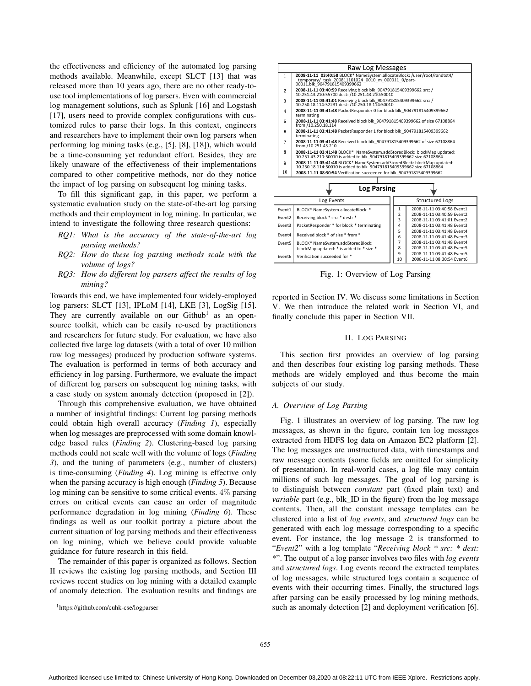the effectiveness and efficiency of the automated log parsing methods available. Meanwhile, except SLCT [13] that was released more than 10 years ago, there are no other ready-touse tool implementations of log parsers. Even with commercial log management solutions, such as Splunk [16] and Logstash [17], users need to provide complex configurations with customized rules to parse their logs. In this context, engineers and researchers have to implement their own log parsers when performing log mining tasks (e.g., [5], [8], [18]), which would be a time-consuming yet redundant effort. Besides, they are likely unaware of the effectiveness of their implementations compared to other competitive methods, nor do they notice the impact of log parsing on subsequent log mining tasks.

To fill this significant gap, in this paper, we perform a systematic evaluation study on the state-of-the-art log parsing methods and their employment in log mining. In particular, we intend to investigate the following three research questions:

- *RQ1: What is the accuracy of the state-of-the-art log parsing methods?*
- *RQ2: How do these log parsing methods scale with the volume of logs?*
- *RQ3: How do different log parsers affect the results of log mining?*

Towards this end, we have implemented four widely-employed log parsers: SLCT [13], IPLoM [14], LKE [3], LogSig [15]. They are currently available on our  $Github<sup>1</sup>$  as an opensource toolkit, which can be easily re-used by practitioners and researchers for future study. For evaluation, we have also collected five large log datasets (with a total of over 10 million raw log messages) produced by production software systems. The evaluation is performed in terms of both accuracy and efficiency in log parsing. Furthermore, we evaluate the impact of different log parsers on subsequent log mining tasks, with a case study on system anomaly detection (proposed in [2]).

Through this comprehensive evaluation, we have obtained a number of insightful findings: Current log parsing methods could obtain high overall accuracy (*Finding 1*), especially when log messages are preprocessed with some domain knowledge based rules (*Finding 2*). Clustering-based log parsing methods could not scale well with the volume of logs (*Finding 3*), and the tuning of parameters (e.g., number of clusters) is time-consuming (*Finding 4*). Log mining is effective only when the parsing accuracy is high enough (*Finding 5*). Because log mining can be sensitive to some critical events. 4% parsing errors on critical events can cause an order of magnitude performance degradation in log mining (*Finding 6*). These findings as well as our toolkit portray a picture about the current situation of log parsing methods and their effectiveness on log mining, which we believe could provide valuable guidance for future research in this field.

The remainder of this paper is organized as follows. Section II reviews the existing log parsing methods, and Section III reviews recent studies on log mining with a detailed example of anomaly detection. The evaluation results and findings are



Fig. 1: Overview of Log Parsing

reported in Section IV. We discuss some limitations in Section V. We then introduce the related work in Section VI, and finally conclude this paper in Section VII.

## II. LOG PARSING

This section first provides an overview of log parsing and then describes four existing log parsing methods. These methods are widely employed and thus become the main subjects of our study.

# *A. Overview of Log Parsing*

Fig. 1 illustrates an overview of log parsing. The raw log messages, as shown in the figure, contain ten log messages extracted from HDFS log data on Amazon EC2 platform [2]. The log messages are unstructured data, with timestamps and raw message contents (some fields are omitted for simplicity of presentation). In real-world cases, a log file may contain millions of such log messages. The goal of log parsing is to distinguish between *constant* part (fixed plain text) and *variable* part (e.g., blk\_ID in the figure) from the log message contents. Then, all the constant message templates can be clustered into a list of *log events*, and *structured logs* can be generated with each log message corresponding to a specific event. For instance, the log message 2 is transformed to "*Event2*" with a log template "*Receiving block \* src: \* dest: \**". The output of a log parser involves two files with *log events* and *structured logs*. Log events record the extracted templates of log messages, while structured logs contain a sequence of events with their occurring times. Finally, the structured logs after parsing can be easily processed by log mining methods, such as anomaly detection [2] and deployment verification [6].

<sup>1</sup>https://github.com/cuhk-cse/logparser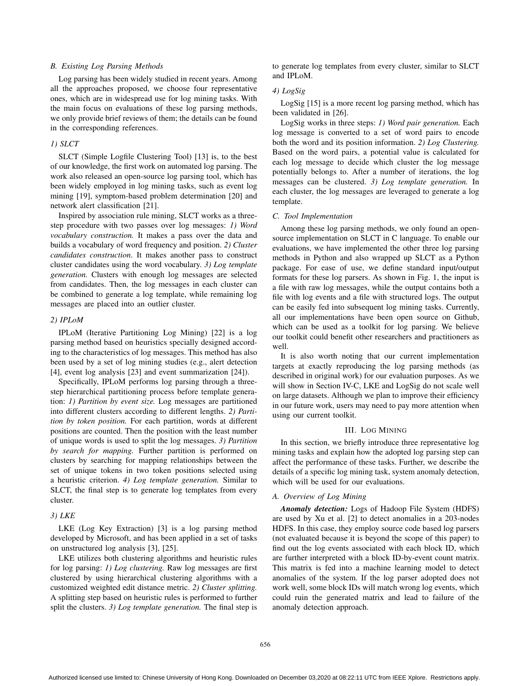## *B. Existing Log Parsing Methods*

Log parsing has been widely studied in recent years. Among all the approaches proposed, we choose four representative ones, which are in widespread use for log mining tasks. With the main focus on evaluations of these log parsing methods, we only provide brief reviews of them; the details can be found in the corresponding references.

# *1) SLCT*

SLCT (Simple Logfile Clustering Tool) [13] is, to the best of our knowledge, the first work on automated log parsing. The work also released an open-source log parsing tool, which has been widely employed in log mining tasks, such as event log mining [19], symptom-based problem determination [20] and network alert classification [21].

Inspired by association rule mining, SLCT works as a threestep procedure with two passes over log messages: *1) Word vocabulary construction.* It makes a pass over the data and builds a vocabulary of word frequency and position. *2) Cluster candidates construction*. It makes another pass to construct cluster candidates using the word vocabulary. *3) Log template generation.* Clusters with enough log messages are selected from candidates. Then, the log messages in each cluster can be combined to generate a log template, while remaining log messages are placed into an outlier cluster.

## *2) IPLoM*

IPLoM (Iterative Partitioning Log Mining) [22] is a log parsing method based on heuristics specially designed according to the characteristics of log messages. This method has also been used by a set of log mining studies (e.g., alert detection [4], event log analysis [23] and event summarization [24]).

Specifically, IPLoM performs log parsing through a threestep hierarchical partitioning process before template generation: *1) Partition by event size.* Log messages are partitioned into different clusters according to different lengths. *2) Partition by token position.* For each partition, words at different positions are counted. Then the position with the least number of unique words is used to split the log messages. *3) Partition by search for mapping.* Further partition is performed on clusters by searching for mapping relationships between the set of unique tokens in two token positions selected using a heuristic criterion. *4) Log template generation.* Similar to SLCT, the final step is to generate log templates from every cluster.

#### *3) LKE*

LKE (Log Key Extraction) [3] is a log parsing method developed by Microsoft, and has been applied in a set of tasks on unstructured log analysis [3], [25].

LKE utilizes both clustering algorithms and heuristic rules for log parsing: *1) Log clustering.* Raw log messages are first clustered by using hierarchical clustering algorithms with a customized weighted edit distance metric. *2) Cluster splitting.* A splitting step based on heuristic rules is performed to further split the clusters. *3) Log template generation.* The final step is to generate log templates from every cluster, similar to SLCT and IPLoM.

#### *4) LogSig*

LogSig [15] is a more recent log parsing method, which has been validated in [26].

LogSig works in three steps: *1) Word pair generation.* Each log message is converted to a set of word pairs to encode both the word and its position information. *2) Log Clustering.* Based on the word pairs, a potential value is calculated for each log message to decide which cluster the log message potentially belongs to. After a number of iterations, the log messages can be clustered. *3) Log template generation.* In each cluster, the log messages are leveraged to generate a log template.

#### *C. Tool Implementation*

Among these log parsing methods, we only found an opensource implementation on SLCT in C language. To enable our evaluations, we have implemented the other three log parsing methods in Python and also wrapped up SLCT as a Python package. For ease of use, we define standard input/output formats for these log parsers. As shown in Fig. 1, the input is a file with raw log messages, while the output contains both a file with log events and a file with structured logs. The output can be easily fed into subsequent log mining tasks. Currently, all our implementations have been open source on Github, which can be used as a toolkit for log parsing. We believe our toolkit could benefit other researchers and practitioners as well.

It is also worth noting that our current implementation targets at exactly reproducing the log parsing methods (as described in original work) for our evaluation purposes. As we will show in Section IV-C, LKE and LogSig do not scale well on large datasets. Although we plan to improve their efficiency in our future work, users may need to pay more attention when using our current toolkit.

#### III. LOG MINING

In this section, we briefly introduce three representative log mining tasks and explain how the adopted log parsing step can affect the performance of these tasks. Further, we describe the details of a specific log mining task, system anomaly detection, which will be used for our evaluations.

## *A. Overview of Log Mining*

*Anomaly detection:* Logs of Hadoop File System (HDFS) are used by Xu et al. [2] to detect anomalies in a 203-nodes HDFS. In this case, they employ source code based log parsers (not evaluated because it is beyond the scope of this paper) to find out the log events associated with each block ID, which are further interpreted with a block ID-by-event count matrix. This matrix is fed into a machine learning model to detect anomalies of the system. If the log parser adopted does not work well, some block IDs will match wrong log events, which could ruin the generated matrix and lead to failure of the anomaly detection approach.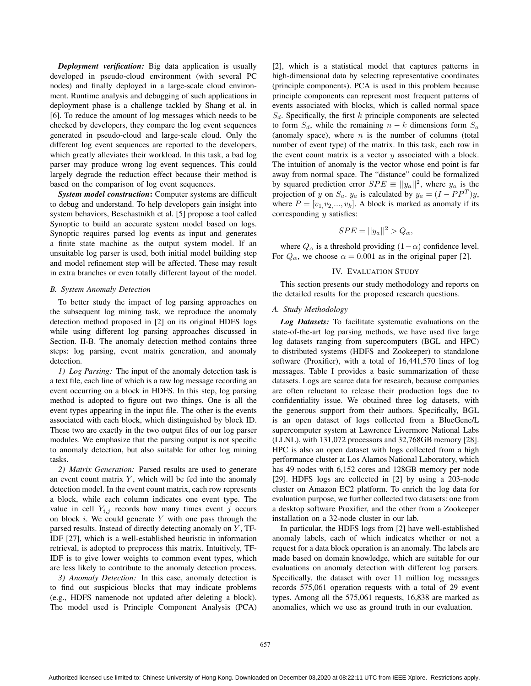*Deployment verification:* Big data application is usually developed in pseudo-cloud environment (with several PC nodes) and finally deployed in a large-scale cloud environment. Runtime analysis and debugging of such applications in deployment phase is a challenge tackled by Shang et al. in [6]. To reduce the amount of log messages which needs to be checked by developers, they compare the log event sequences generated in pseudo-cloud and large-scale cloud. Only the different log event sequences are reported to the developers, which greatly alleviates their workload. In this task, a bad log parser may produce wrong log event sequences. This could largely degrade the reduction effect because their method is based on the comparison of log event sequences.

*System model construction*: Computer systems are difficult to debug and understand. To help developers gain insight into system behaviors, Beschastnikh et al. [5] propose a tool called Synoptic to build an accurate system model based on logs. Synoptic requires parsed log events as input and generates a finite state machine as the output system model. If an unsuitable log parser is used, both initial model building step and model refinement step will be affected. These may result in extra branches or even totally different layout of the model.

#### *B. System Anomaly Detection*

To better study the impact of log parsing approaches on the subsequent log mining task, we reproduce the anomaly detection method proposed in [2] on its original HDFS logs while using different log parsing approaches discussed in Section. II-B. The anomaly detection method contains three steps: log parsing, event matrix generation, and anomaly detection.

*1) Log Parsing:* The input of the anomaly detection task is a text file, each line of which is a raw log message recording an event occurring on a block in HDFS. In this step, log parsing method is adopted to figure out two things. One is all the event types appearing in the input file. The other is the events associated with each block, which distinguished by block ID. These two are exactly in the two output files of our log parser modules. We emphasize that the parsing output is not specific to anomaly detection, but also suitable for other log mining tasks.

*2) Matrix Generation:* Parsed results are used to generate an event count matrix  $Y$ , which will be fed into the anomaly detection model. In the event count matrix, each row represents a block, while each column indicates one event type. The value in cell  $Y_{i,j}$  records how many times event j occurs on block  $i$ . We could generate  $Y$  with one pass through the parsed results. Instead of directly detecting anomaly on  $Y$ , TF-IDF [27], which is a well-established heuristic in information retrieval, is adopted to preprocess this matrix. Intuitively, TF-IDF is to give lower weights to common event types, which are less likely to contribute to the anomaly detection process.

*3) Anomaly Detection:* In this case, anomaly detection is to find out suspicious blocks that may indicate problems (e.g., HDFS namenode not updated after deleting a block). The model used is Principle Component Analysis (PCA)

[2], which is a statistical model that captures patterns in high-dimensional data by selecting representative coordinates (principle components). PCA is used in this problem because principle components can represent most frequent patterns of events associated with blocks, which is called normal space  $S_d$ . Specifically, the first k principle components are selected to form  $S_d$ , while the remaining  $n - k$  dimensions form  $S_a$ (anomaly space), where  $n$  is the number of columns (total number of event type) of the matrix. In this task, each row in the event count matrix is a vector  $y$  associated with a block. The intuition of anomaly is the vector whose end point is far away from normal space. The "distance" could be formalized by squared prediction error  $SPE \equiv ||y_a||^2$ , where  $y_a$  is the projection of y on  $S_a$ .  $y_a$  is calculated by  $y_a = (I - PP^T)y$ , where  $P = [v_1, v_2, ..., v_k]$ . A block is marked as anomaly if its corresponding  $y$  satisfies:

$$
SPE = ||y_a||^2 > Q_\alpha,
$$

where  $Q_{\alpha}$  is a threshold providing  $(1-\alpha)$  confidence level. For  $Q_{\alpha}$ , we choose  $\alpha = 0.001$  as in the original paper [2].

## IV. EVALUATION STUDY

This section presents our study methodology and reports on the detailed results for the proposed research questions.

## *A. Study Methodology*

*Log Datasets:* To facilitate systematic evaluations on the state-of-the-art log parsing methods, we have used five large log datasets ranging from supercomputers (BGL and HPC) to distributed systems (HDFS and Zookeeper) to standalone software (Proxifier), with a total of 16,441,570 lines of log messages. Table I provides a basic summarization of these datasets. Logs are scarce data for research, because companies are often reluctant to release their production logs due to confidentiality issue. We obtained three log datasets, with the generous support from their authors. Specifically, BGL is an open dataset of logs collected from a BlueGene/L supercomputer system at Lawrence Livermore National Labs (LLNL), with 131,072 processors and 32,768GB memory [28]. HPC is also an open dataset with logs collected from a high performance cluster at Los Alamos National Laboratory, which has 49 nodes with 6,152 cores and 128GB memory per node [29]. HDFS logs are collected in [2] by using a 203-node cluster on Amazon EC2 platform. To enrich the log data for evaluation purpose, we further collected two datasets: one from a desktop software Proxifier, and the other from a Zookeeper installation on a 32-node cluster in our lab.

In particular, the HDFS logs from [2] have well-established anomaly labels, each of which indicates whether or not a request for a data block operation is an anomaly. The labels are made based on domain knowledge, which are suitable for our evaluations on anomaly detection with different log parsers. Specifically, the dataset with over 11 million log messages records 575,061 operation requests with a total of 29 event types. Among all the 575,061 requests, 16,838 are marked as anomalies, which we use as ground truth in our evaluation.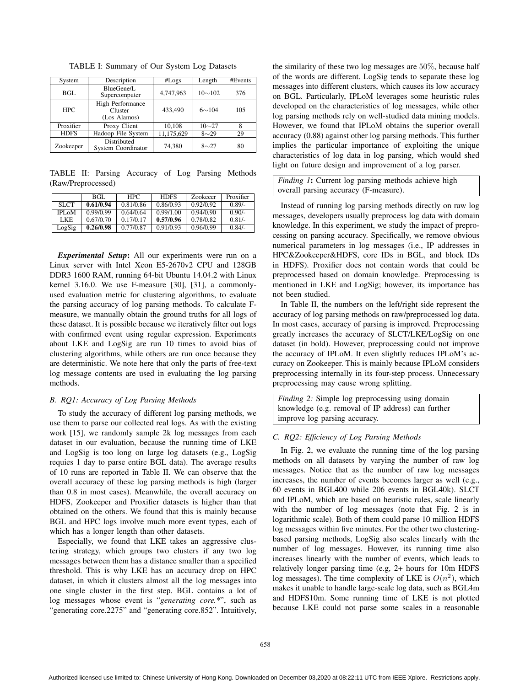| System      | Description                                 | Length<br>#Logs            |              | #Events |
|-------------|---------------------------------------------|----------------------------|--------------|---------|
| <b>BGL</b>  | BlueGene/L<br>Supercomputer                 | 4,747,963<br>$10 \sim 102$ |              | 376     |
| <b>HPC</b>  | High Performance<br>Cluster<br>(Los Alamos) | 433.490                    | $6 \sim 104$ | 105     |
| Proxifier   | Proxy Client                                | 10.108                     | $10 - 27$    |         |
| <b>HDFS</b> | Hadoop File System                          | 11,175,629                 | $8\sim29$    | 29      |
| Zookeeper   | Distributed<br><b>System Coordinator</b>    | 74.380                     | $8\sim27$    | 80      |

TABLE I: Summary of Our System Log Datasets

TABLE II: Parsing Accuracy of Log Parsing Methods (Raw/Preprocessed)

|              | BGL       | HPC.      | <b>HDFS</b> | Zookeeer  | Proxifier |
|--------------|-----------|-----------|-------------|-----------|-----------|
| <b>SLCT</b>  | 0.61/0.94 | 0.81/0.86 | 0.86/0.93   | 0.92/0.92 | $0.89/-$  |
| <b>IPLOM</b> | 0.99/0.99 | 0.64/0.64 | 0.99/1.00   | 0.94/0.90 | $0.90/-$  |
| LKE          | 0.67/0.70 | 0 17/0 17 | 0.57/0.96   | 0.78/0.82 | $0.81/-$  |
| LogSig       | 0.26/0.98 | 0.77/0.87 | 0.91/0.93   | 0.96/0.99 | $0.84/-$  |

*Experimental Setup*: All our experiments were run on a Linux server with Intel Xeon E5-2670v2 CPU and 128GB DDR3 1600 RAM, running 64-bit Ubuntu 14.04.2 with Linux kernel 3.16.0. We use F-measure [30], [31], a commonlyused evaluation metric for clustering algorithms, to evaluate the parsing accuracy of log parsing methods. To calculate Fmeasure, we manually obtain the ground truths for all logs of these dataset. It is possible because we iteratively filter out logs with confirmed event using regular expression. Experiments about LKE and LogSig are run 10 times to avoid bias of clustering algorithms, while others are run once because they are deterministic. We note here that only the parts of free-text log message contents are used in evaluating the log parsing methods.

## *B. RQ1: Accuracy of Log Parsing Methods*

To study the accuracy of different log parsing methods, we use them to parse our collected real logs. As with the existing work [15], we randomly sample 2k log messages from each dataset in our evaluation, because the running time of LKE and LogSig is too long on large log datasets (e.g., LogSig requies 1 day to parse entire BGL data). The average results of 10 runs are reported in Table II. We can observe that the overall accuracy of these log parsing methods is high (larger than 0.8 in most cases). Meanwhile, the overall accuracy on HDFS, Zookeeper and Proxifier datasets is higher than that obtained on the others. We found that this is mainly because BGL and HPC logs involve much more event types, each of which has a longer length than other datasets.

Especially, we found that LKE takes an aggressive clustering strategy, which groups two clusters if any two log messages between them has a distance smaller than a specified threshold. This is why LKE has an accuracy drop on HPC dataset, in which it clusters almost all the log messages into one single cluster in the first step. BGL contains a lot of log messages whose event is "*generating core.\**", such as "generating core.2275" and "generating core.852". Intuitively, the similarity of these two log messages are 50%, because half of the words are different. LogSig tends to separate these log messages into different clusters, which causes its low accuracy on BGL. Particularly, IPLoM leverages some heuristic rules developed on the characteristics of log messages, while other log parsing methods rely on well-studied data mining models. However, we found that IPLoM obtains the superior overall accuracy (0.88) against other log parsing methods. This further implies the particular importance of exploiting the unique characteristics of log data in log parsing, which would shed light on future design and improvement of a log parser.

| <i>Finding 1</i> : Current log parsing methods achieve high |  |
|-------------------------------------------------------------|--|
| overall parsing accuracy (F-measure).                       |  |

Instead of running log parsing methods directly on raw log messages, developers usually preprocess log data with domain knowledge. In this experiment, we study the impact of preprocessing on parsing accuracy. Specifically, we remove obvious numerical parameters in log messages (i.e., IP addresses in HPC&Zookeeper&HDFS, core IDs in BGL, and block IDs in HDFS). Proxifier does not contain words that could be preprocessed based on domain knowledge. Preprocessing is mentioned in LKE and LogSig; however, its importance has not been studied.

In Table II, the numbers on the left/right side represent the accuracy of log parsing methods on raw/preprocessed log data. In most cases, accuracy of parsing is improved. Preprocessing greatly increases the accuracy of SLCT/LKE/LogSig on one dataset (in bold). However, preprocessing could not improve the accuracy of IPLoM. It even slightly reduces IPLoM's accuracy on Zookeeper. This is mainly because IPLoM considers preprocessing internally in its four-step process. Unnecessary preprocessing may cause wrong splitting.

*Finding 2:* Simple log preprocessing using domain knowledge (e.g. removal of IP address) can further improve log parsing accuracy.

# *C. RQ2: Efficiency of Log Parsing Methods*

In Fig. 2, we evaluate the running time of the log parsing methods on all datasets by varying the number of raw log messages. Notice that as the number of raw log messages increases, the number of events becomes larger as well (e.g., 60 events in BGL400 while 206 events in BGL40k). SLCT and IPLoM, which are based on heuristic rules, scale linearly with the number of log messages (note that Fig. 2 is in logarithmic scale). Both of them could parse 10 million HDFS log messages within five minutes. For the other two clusteringbased parsing methods, LogSig also scales linearly with the number of log messages. However, its running time also increases linearly with the number of events, which leads to relatively longer parsing time (e.g, 2+ hours for 10m HDFS log messages). The time complexity of LKE is  $O(n^2)$ , which makes it unable to handle large-scale log data, such as BGL4m and HDFS10m. Some running time of LKE is not plotted because LKE could not parse some scales in a reasonable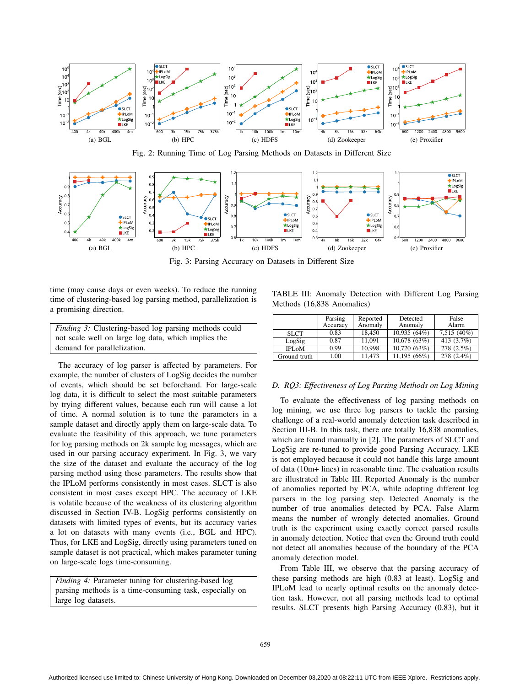

Fig. 2: Running Time of Log Parsing Methods on Datasets in Different Size



Fig. 3: Parsing Accuracy on Datasets in Different Size

time (may cause days or even weeks). To reduce the running time of clustering-based log parsing method, parallelization is a promising direction.

*Finding 3:* Clustering-based log parsing methods could not scale well on large log data, which implies the demand for parallelization.

The accuracy of log parser is affected by parameters. For example, the number of clusters of LogSig decides the number of events, which should be set beforehand. For large-scale log data, it is difficult to select the most suitable parameters by trying different values, because each run will cause a lot of time. A normal solution is to tune the parameters in a sample dataset and directly apply them on large-scale data. To evaluate the feasibility of this approach, we tune parameters for log parsing methods on 2k sample log messages, which are used in our parsing accuracy experiment. In Fig. 3, we vary the size of the dataset and evaluate the accuracy of the log parsing method using these parameters. The results show that the IPLoM performs consistently in most cases. SLCT is also consistent in most cases except HPC. The accuracy of LKE is volatile because of the weakness of its clustering algorithm discussed in Section IV-B. LogSig performs consistently on datasets with limited types of events, but its accuracy varies a lot on datasets with many events (i.e., BGL and HPC). Thus, for LKE and LogSig, directly using parameters tuned on sample dataset is not practical, which makes parameter tuning on large-scale logs time-consuming.

*Finding 4:* Parameter tuning for clustering-based log parsing methods is a time-consuming task, especially on large log datasets.

|  |                            | TABLE III: Anomaly Detection with Different Log Parsing |  |  |
|--|----------------------------|---------------------------------------------------------|--|--|
|  | Methods (16,838 Anomalies) |                                                         |  |  |

|              | Parsing<br>Accuracy | Reported<br>Anomaly | Detected<br>Anomaly | False<br>Alarm |
|--------------|---------------------|---------------------|---------------------|----------------|
| <b>SLCT</b>  | 0.83                | 18.450              | 10,935(64%)         | $7,515(40\%)$  |
| LogSig       | 0.87                | 11.091              | 10,678(63%)         | 413 $(3.7%)$   |
| <b>IPLoM</b> | 0.99                | 10.998              | 10,720(63%)         | 278 (2.5%)     |
| Ground truth | 1.00                | 11.473              | 11,195 (66%)        | 278 (2.4%)     |

## *D. RQ3: Effectiveness of Log Parsing Methods on Log Mining*

To evaluate the effectiveness of log parsing methods on log mining, we use three log parsers to tackle the parsing challenge of a real-world anomaly detection task described in Section III-B. In this task, there are totally 16,838 anomalies, which are found manually in [2]. The parameters of SLCT and LogSig are re-tuned to provide good Parsing Accuracy. LKE is not employed because it could not handle this large amount of data (10m+ lines) in reasonable time. The evaluation results are illustrated in Table III. Reported Anomaly is the number of anomalies reported by PCA, while adopting different log parsers in the log parsing step. Detected Anomaly is the number of true anomalies detected by PCA. False Alarm means the number of wrongly detected anomalies. Ground truth is the experiment using exactly correct parsed results in anomaly detection. Notice that even the Ground truth could not detect all anomalies because of the boundary of the PCA anomaly detection model.

From Table III, we observe that the parsing accuracy of these parsing methods are high (0.83 at least). LogSig and IPLoM lead to nearly optimal results on the anomaly detection task. However, not all parsing methods lead to optimal results. SLCT presents high Parsing Accuracy (0.83), but it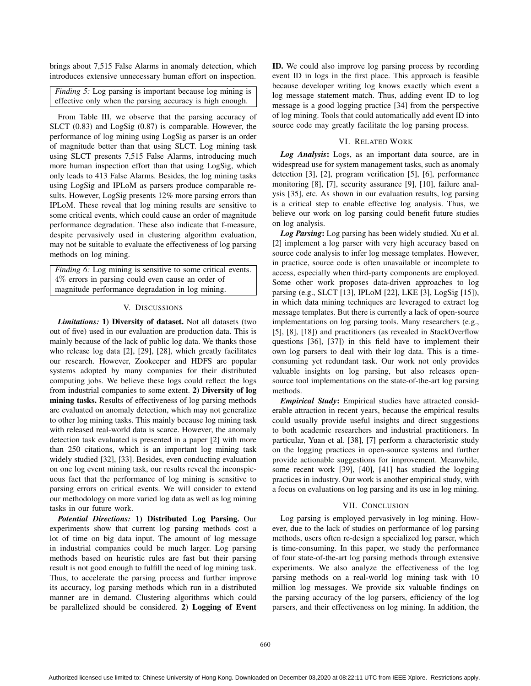brings about 7,515 False Alarms in anomaly detection, which introduces extensive unnecessary human effort on inspection.

*Finding 5:* Log parsing is important because log mining is effective only when the parsing accuracy is high enough.

From Table III, we observe that the parsing accuracy of SLCT (0.83) and LogSig (0.87) is comparable. However, the performance of log mining using LogSig as parser is an order of magnitude better than that using SLCT. Log mining task using SLCT presents 7,515 False Alarms, introducing much more human inspection effort than that using LogSig, which only leads to 413 False Alarms. Besides, the log mining tasks using LogSig and IPLoM as parsers produce comparable results. However, LogSig presents 12% more parsing errors than IPLoM. These reveal that log mining results are sensitive to some critical events, which could cause an order of magnitude performance degradation. These also indicate that f-measure, despite pervasively used in clustering algorithm evaluation, may not be suitable to evaluate the effectiveness of log parsing methods on log mining.

*Finding 6:* Log mining is sensitive to some critical events. 4% errors in parsing could even cause an order of magnitude performance degradation in log mining.

#### V. DISCUSSIONS

*Limitations:* 1) Diversity of dataset. Not all datasets (two out of five) used in our evaluation are production data. This is mainly because of the lack of public log data. We thanks those who release log data [2], [29], [28], which greatly facilitates our research. However, Zookeeper and HDFS are popular systems adopted by many companies for their distributed computing jobs. We believe these logs could reflect the logs from industrial companies to some extent. 2) Diversity of log mining tasks. Results of effectiveness of log parsing methods are evaluated on anomaly detection, which may not generalize to other log mining tasks. This mainly because log mining task with released real-world data is scarce. However, the anomaly detection task evaluated is presented in a paper [2] with more than 250 citations, which is an important log mining task widely studied [32], [33]. Besides, even conducting evaluation on one log event mining task, our results reveal the inconspicuous fact that the performance of log mining is sensitive to parsing errors on critical events. We will consider to extend our methodology on more varied log data as well as log mining tasks in our future work.

*Potential Directions:* 1) Distributed Log Parsing. Our experiments show that current log parsing methods cost a lot of time on big data input. The amount of log message in industrial companies could be much larger. Log parsing methods based on heuristic rules are fast but their parsing result is not good enough to fulfill the need of log mining task. Thus, to accelerate the parsing process and further improve its accuracy, log parsing methods which run in a distributed manner are in demand. Clustering algorithms which could be parallelized should be considered. 2) Logging of Event ID. We could also improve log parsing process by recording event ID in logs in the first place. This approach is feasible because developer writing log knows exactly which event a log message statement match. Thus, adding event ID to log message is a good logging practice [34] from the perspective of log mining. Tools that could automatically add event ID into source code may greatly facilitate the log parsing process.

## VI. RELATED WORK

*Log Analysis*: Logs, as an important data source, are in widespread use for system management tasks, such as anomaly detection [3], [2], program verification [5], [6], performance monitoring [8], [7], security assurance [9], [10], failure analysis [35], etc. As shown in our evaluation results, log parsing is a critical step to enable effective log analysis. Thus, we believe our work on log parsing could benefit future studies on log analysis.

*Log Parsing*: Log parsing has been widely studied. Xu et al. [2] implement a log parser with very high accuracy based on source code analysis to infer log message templates. However, in practice, source code is often unavailable or incomplete to access, especially when third-party components are employed. Some other work proposes data-driven approaches to log parsing (e.g., SLCT [13], IPLoM [22], LKE [3], LogSig [15]), in which data mining techniques are leveraged to extract log message templates. But there is currently a lack of open-source implementations on log parsing tools. Many researchers (e.g., [5], [8], [18]) and practitioners (as revealed in StackOverflow questions [36], [37]) in this field have to implement their own log parsers to deal with their log data. This is a timeconsuming yet redundant task. Our work not only provides valuable insights on log parsing, but also releases opensource tool implementations on the state-of-the-art log parsing methods.

*Empirical Study*: Empirical studies have attracted considerable attraction in recent years, because the empirical results could usually provide useful insights and direct suggestions to both academic researchers and industrial practitioners. In particular, Yuan et al. [38], [7] perform a characteristic study on the logging practices in open-source systems and further provide actionable suggestions for improvement. Meanwhile, some recent work [39], [40], [41] has studied the logging practices in industry. Our work is another empirical study, with a focus on evaluations on log parsing and its use in log mining.

## VII. CONCLUSION

Log parsing is employed pervasively in log mining. However, due to the lack of studies on performance of log parsing methods, users often re-design a specialized log parser, which is time-consuming. In this paper, we study the performance of four state-of-the-art log parsing methods through extensive experiments. We also analyze the effectiveness of the log parsing methods on a real-world log mining task with 10 million log messages. We provide six valuable findings on the parsing accuracy of the log parsers, efficiency of the log parsers, and their effectiveness on log mining. In addition, the